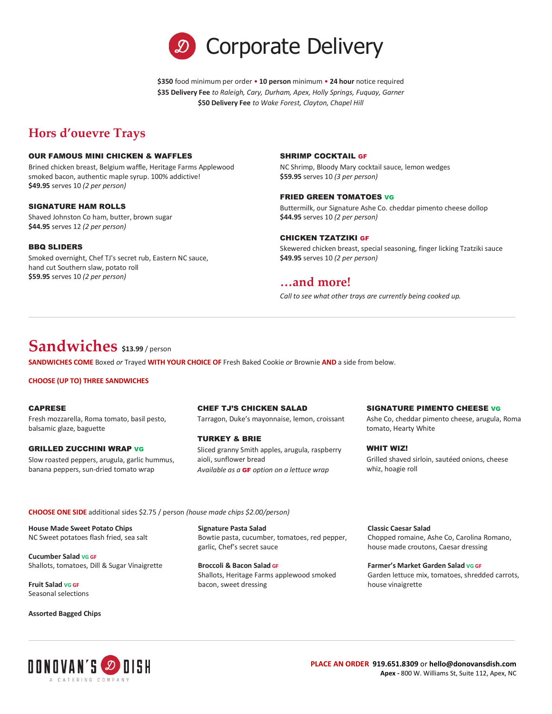

**\$350** food minimum per order • **10 person** minimum • **24 hour** notice required **\$35 Delivery Fee** *to Raleigh, Cary, Durham, Apex, Holly Springs, Fuquay, Garner* **\$50 Delivery Fee** *to Wake Forest, Clayton, Chapel Hill*

# **Hors d'ouevre Trays**

#### OUR FAMOUS MINI CHICKEN & WAFFLES

Brined chicken breast, Belgium waffle, Heritage Farms Applewood smoked bacon, authentic maple syrup. 100% addictive! **\$49.95** serves 10 *(2 per person)*

#### SIGNATURE HAM ROLLS

Shaved Johnston Co ham, butter, brown sugar **\$44.95** serves 12 *(2 per person)*

#### BBQ SLIDERS

Smoked overnight, Chef TJ's secret rub, Eastern NC sauce, hand cut Southern slaw, potato roll **\$59.95** serves 10 *(2 per person)*

#### SHRIMP COCKTAIL GF

NC Shrimp, Bloody Mary cocktail sauce, lemon wedges **\$59.95** serves 10 *(3 per person)*

#### FRIED GREEN TOMATOES VG

Buttermilk, our Signature Ashe Co. cheddar pimento cheese dollop **\$44.95** serves 10 *(2 per person)*

#### CHICKEN TZATZIKI GF

Skewered chicken breast, special seasoning, finger licking Tzatziki sauce **\$49.95** serves 10 *(2 per person)*

## **…and more!**

*Call to see what other trays are currently being cooked up.*

# **Sandwiches \$13.99** / person

**SANDWICHES COME** Boxed *or* Trayed **WITH YOUR CHOICE OF** Fresh Baked Cookie *or* Brownie **AND** a side from below.

#### **CHOOSE (UP TO) THREE SANDWICHES**

#### CAPRESE

Fresh mozzarella, Roma tomato, basil pesto, balsamic glaze, baguette

#### GRILLED ZUCCHINI WRAP VG

Slow roasted peppers, arugula, garlic hummus, banana peppers, sun-dried tomato wrap

#### CHEF TJ'S CHICKEN SALAD

Tarragon, Duke's mayonnaise, lemon, croissant

#### TURKEY & BRIE

Sliced granny Smith apples, arugula, raspberry aioli, sunflower bread *Available as a* GF *option on a lettuce wrap*

#### SIGNATURE PIMENTO CHEESE VG

Ashe Co, cheddar pimento cheese, arugula, Roma tomato, Hearty White

WHIT WIZ! Grilled shaved sirloin, sautéed onions, cheese whiz, hoagie roll

**CHOOSE ONE SIDE** additional sides \$2.75 / person *(house made chips \$2.00/person)*

**House Made Sweet Potato Chips** NC Sweet potatoes flash fried, sea salt

**Cucumber Salad VG GF** Shallots, tomatoes, Dill & Sugar Vinaigrette

**Fruit Salad VG GF** Seasonal selections

**Assorted Bagged Chips**

**Signature Pasta Salad** Bowtie pasta, cucumber, tomatoes, red pepper, garlic, Chef's secret sauce

**Broccoli & Bacon Salad GF** Shallots, Heritage Farms applewood smoked bacon, sweet dressing

**Classic Caesar Salad** Chopped romaine, Ashe Co, Carolina Romano, house made croutons, Caesar dressing

## **Farmer's Market Garden Salad VG GF**

Garden lettuce mix, tomatoes, shredded carrots, house vinaigrette